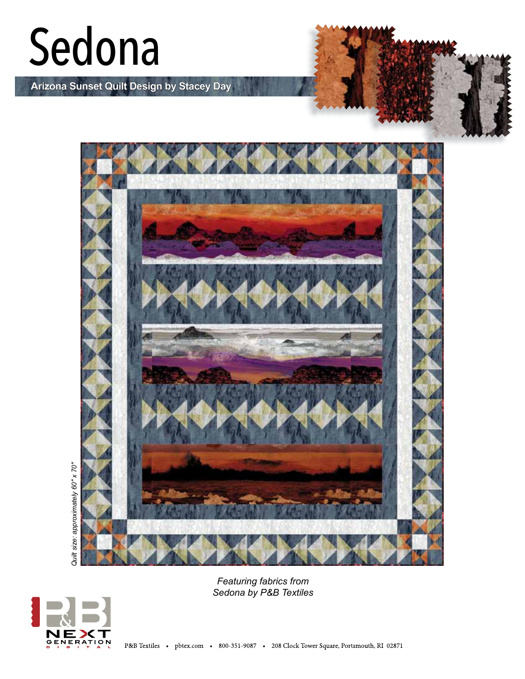# Sedona

**Arizona Sunset Quilt Design by Stacey Day**



*Featuring fabrics from Sedona by P&B Textiles*

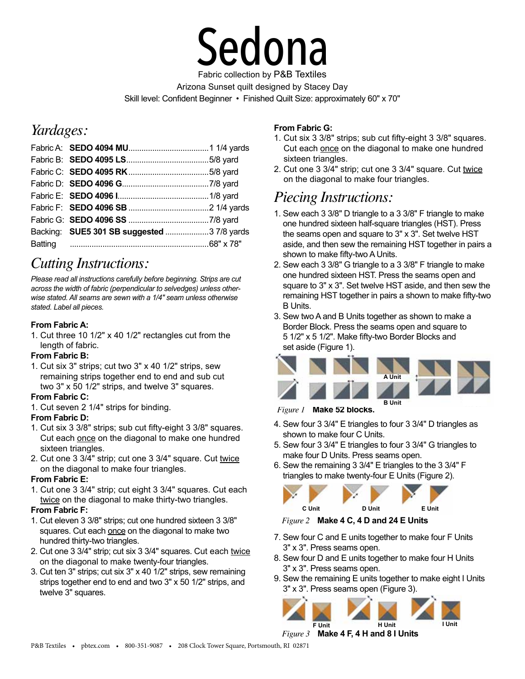

Arizona Sunset quilt designed by Stacey Day Skill level: Confident Beginner • Finished Quilt Size: approximately 60" x 70"

## *Yardages:*

| Backing: SUE5 301 SB suggested  3 7/8 yards |  |
|---------------------------------------------|--|
|                                             |  |
|                                             |  |

## *Cutting Instructions:*

*Please read all instructions carefully before beginning. Strips are cut across the width of fabric (perpendicular to selvedges) unless otherwise stated. All seams are sewn with a 1/4" seam unless otherwise stated. Label all pieces.* 

#### **From Fabric A:**

1. Cut three 10 1/2" x 40 1/2" rectangles cut from the length of fabric.

#### **From Fabric B:**

1. Cut six 3" strips; cut two 3" x 40 1/2" strips, sew remaining strips together end to end and sub cut two 3" x 50 1/2" strips, and twelve 3" squares.

#### **From Fabric C:**

1. Cut seven 2 1/4" strips for binding.

#### **From Fabric D:**

- 1. Cut six 3 3/8" strips; sub cut fifty-eight 3 3/8" squares. Cut each once on the diagonal to make one hundred sixteen triangles.
- 2. Cut one 3 3/4" strip; cut one 3 3/4" square. Cut twice on the diagonal to make four triangles.

#### **From Fabric E:**

1. Cut one 3 3/4" strip; cut eight 3 3/4" squares. Cut each twice on the diagonal to make thirty-two triangles.

#### **From Fabric F:**

- 1. Cut eleven 3 3/8" strips; cut one hundred sixteen 3 3/8" squares. Cut each once on the diagonal to make two hundred thirty-two triangles.
- 2. Cut one 3 3/4" strip; cut six 3 3/4" squares. Cut each twice on the diagonal to make twenty-four triangles.
- 3. Cut ten 3" strips; cut six 3" x 40 1/2" strips, sew remaining strips together end to end and two 3" x 50 1/2" strips, and twelve 3" squares.

#### **From Fabric G:**

- 1. Cut six 3 3/8" strips; sub cut fifty-eight 3 3/8" squares. Cut each once on the diagonal to make one hundred sixteen triangles.
- 2. Cut one 3 3/4" strip; cut one 3 3/4" square. Cut twice on the diagonal to make four triangles.

### *Piecing Instructions:*

- 1. Sew each 3 3/8" D triangle to a 3 3/8" F triangle to make one hundred sixteen half-square triangles (HST). Press the seams open and square to 3" x 3". Set twelve HST aside, and then sew the remaining HST together in pairs a shown to make fifty-two A Units.
- 2. Sew each 3 3/8" G triangle to a 3 3/8" F triangle to make one hundred sixteen HST. Press the seams open and square to 3" x 3". Set twelve HST aside, and then sew the remaining HST together in pairs a shown to make fifty-two B Units.
- 3. Sew two A and B Units together as shown to make a Border Block. Press the seams open and square to 5 1/2" x 5 1/2". Make fifty-two Border Blocks and set aside (Figure 1).



*Figure 1* **Make 52 blocks.**

- 4. Sew four 3 3/4" E triangles to four 3 3/4" D triangles as shown to make four C Units.
- 5. Sew four 3 3/4" E triangles to four 3 3/4" G triangles to make four D Units. Press seams open.
- 6. Sew the remaining 3 3/4" E triangles to the 3 3/4" F triangles to make twenty-four E Units (Figure 2).



*Figure 2* **Make 4 C, 4 D and 24 E Units**

- 7. Sew four C and E units together to make four F Units 3" x 3". Press seams open.
- 8. Sew four D and E units together to make four H Units 3" x 3". Press seams open.
- 9. Sew the remaining E units together to make eight I Units 3" x 3". Press seams open (Figure 3).



*Figure 3* **Make 4 F, 4 H and 8 I Units**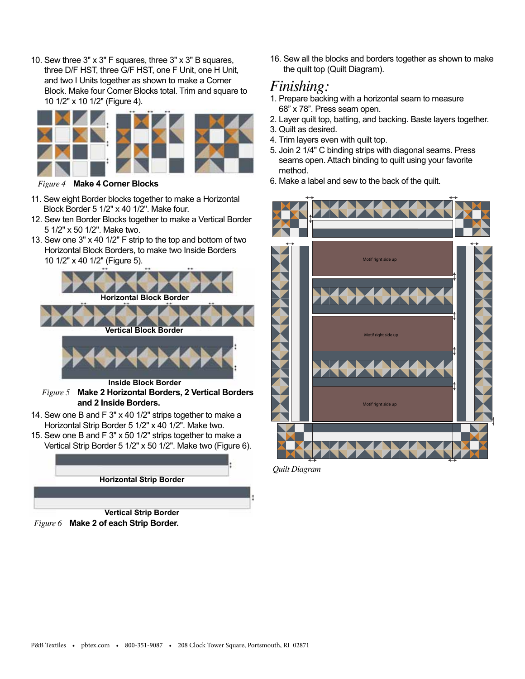10. Sew three 3" x 3" F squares, three 3" x 3" B squares, three D/F HST, three G/F HST, one F Unit, one H Unit, and two I Units together as shown to make a Corner Block. Make four Corner Blocks total. Trim and square to 10 1/2" x 10 1/2" (Figure 4).



- 11. Sew eight Border blocks together to make a Horizontal Block Border 5 1/2" x 40 1/2". Make four.
- 12. Sew ten Border Blocks together to make a Vertical Border 5 1/2" x 50 1/2". Make two.
- 13. Sew one 3" x 40 1/2" F strip to the top and bottom of two Horizontal Block Borders, to make two Inside Borders 10 1/2" x 40 1/2" (Figure 5).





*Figure 6* **Make 2 of each Strip Border.**

16. Sew all the blocks and borders together as shown to make the quilt top (Quilt Diagram).

### *Finishing:*

- 1. Prepare backing with a horizontal seam to measure 68" x 78". Press seam open.
- 2. Layer quilt top, batting, and backing. Baste layers together.
- 3. Quilt as desired.
- 4. Trim layers even with quilt top.
- 5. Join 2 1/4" C binding strips with diagonal seams. Press seams open. Attach binding to quilt using your favorite method.
- 6. Make a label and sew to the back of the quilt. *Figure 4* **Make 4 Corner Blocks**



*Quilt Diagram*